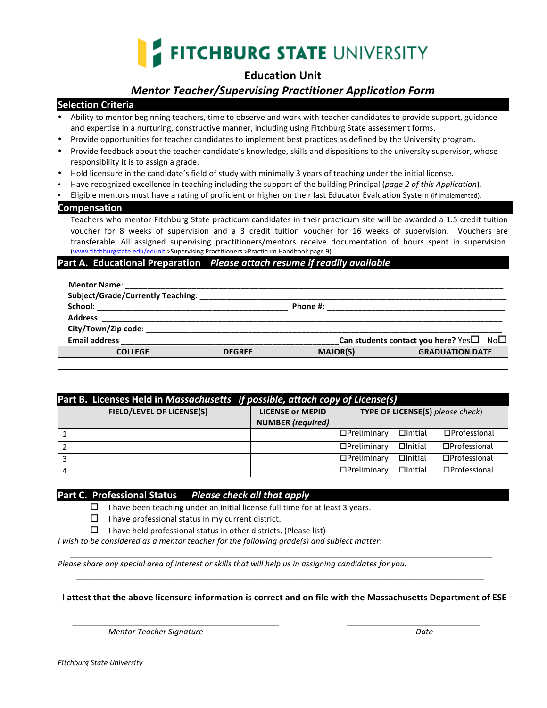

# **Education Unit**

# *Mentor Teacher/Supervising Practitioner Application Form*

### **Selection Criteria**

- Ability to mentor beginning teachers, time to observe and work with teacher candidates to provide support, guidance and expertise in a nurturing, constructive manner, including using Fitchburg State assessment forms.
- Provide opportunities for teacher candidates to implement best practices as defined by the University program.
- Provide feedback about the teacher candidate's knowledge, skills and dispositions to the university supervisor, whose responsibility it is to assign a grade.
- Hold licensure in the candidate's field of study with minimally 3 years of teaching under the initial license.
- Have recognized excellence in teaching including the support of the building Principal (*page 2 of this Application*).
- Eligible mentors must have a rating of proficient or higher on their last Educator Evaluation System (if implemented).

#### **Compensation**

Teachers who mentor Fitchburg State practicum candidates in their practicum site will be awarded a 1.5 credit tuition voucher for 8 weeks of supervision and a 3 credit tuition voucher for 16 weeks of supervision. Vouchers are transferable. All assigned supervising practitioners/mentors receive documentation of hours spent in supervision. (www.fitchburgstate.edu/edunit >Supervising Practitioners >Practicum Handbook page 9)

#### **Part A. Educational Preparation** *Please attach resume if readily available*

| Mentor Name: The contract of the contract of the contract of the contract of the contract of the contract of the contract of the contract of the contract of the contract of the contract of the contract of the contract of t |                                                           |                 |                        |  |
|--------------------------------------------------------------------------------------------------------------------------------------------------------------------------------------------------------------------------------|-----------------------------------------------------------|-----------------|------------------------|--|
| <b>Subject/Grade/Currently Teaching:</b>                                                                                                                                                                                       |                                                           |                 |                        |  |
| School:                                                                                                                                                                                                                        | Phone #:                                                  |                 |                        |  |
| <b>Address:</b>                                                                                                                                                                                                                |                                                           |                 |                        |  |
| City/Town/Zip code:                                                                                                                                                                                                            |                                                           |                 |                        |  |
| <b>Email address</b>                                                                                                                                                                                                           | Can students contact you here? Yes $\square$ No $\square$ |                 |                        |  |
| <b>COLLEGE</b>                                                                                                                                                                                                                 | <b>DEGREE</b>                                             | <b>MAJOR(S)</b> | <b>GRADUATION DATE</b> |  |
|                                                                                                                                                                                                                                |                                                           |                 |                        |  |
|                                                                                                                                                                                                                                |                                                           |                 |                        |  |

|   | Part B. Licenses Held in Massachusetts if possible, attach copy of License(s) |                          |                                         |                |                        |
|---|-------------------------------------------------------------------------------|--------------------------|-----------------------------------------|----------------|------------------------|
|   | <b>FIELD/LEVEL OF LICENSE(S)</b>                                              | <b>LICENSE or MEPID</b>  | <b>TYPE OF LICENSE(S)</b> please check) |                |                        |
|   |                                                                               | <b>NUMBER</b> (required) |                                         |                |                        |
|   |                                                                               |                          | $D$ Preliminary                         | $\Box$ Initial | $\square$ Professional |
|   |                                                                               |                          | $D$ Preliminary                         | $\Box$ Initial | $\square$ Professional |
|   |                                                                               |                          | $D$ Preliminary                         | $\Box$ Initial | $\square$ Professional |
| 4 |                                                                               |                          | $D$ Preliminary                         | $\Box$ Initial | □Professional          |

### **Part C. Professional Status** Please check all that apply

 $\Box$  I have been teaching under an initial license full time for at least 3 years.

- $\Box$  I have professional status in my current district.
- $\Box$  I have held professional status in other districts. (Please list)

*I* wish to be considered as a mentor teacher for the following grade(s) and subject matter:

*Please share any special area of interest or skills that will help us in assigning candidates for you.* 

**I** attest that the above licensure information is correct and on file with the Massachusetts Department of ESE

 $\mathcal{L}_\text{max} = \mathcal{L}_\text{max} = \mathcal{L}_\text{max} = \mathcal{L}_\text{max} = \mathcal{L}_\text{max} = \mathcal{L}_\text{max} = \mathcal{L}_\text{max} = \mathcal{L}_\text{max} = \mathcal{L}_\text{max} = \mathcal{L}_\text{max} = \mathcal{L}_\text{max} = \mathcal{L}_\text{max} = \mathcal{L}_\text{max} = \mathcal{L}_\text{max} = \mathcal{L}_\text{max} = \mathcal{L}_\text{max} = \mathcal{L}_\text{max} = \mathcal{L}_\text{max} = \mathcal{$ 

 $\mathcal{L} = \frac{1}{2} \sum_{i=1}^{n} \frac{1}{2} \sum_{j=1}^{n} \frac{1}{2} \sum_{j=1}^{n} \frac{1}{2} \sum_{j=1}^{n} \frac{1}{2} \sum_{j=1}^{n} \frac{1}{2} \sum_{j=1}^{n} \frac{1}{2} \sum_{j=1}^{n} \frac{1}{2} \sum_{j=1}^{n} \frac{1}{2} \sum_{j=1}^{n} \frac{1}{2} \sum_{j=1}^{n} \frac{1}{2} \sum_{j=1}^{n} \frac{1}{2} \sum_{j=1}^{n} \frac{1}{2} \sum$ 

 *Mentor Teacher Signature Date*